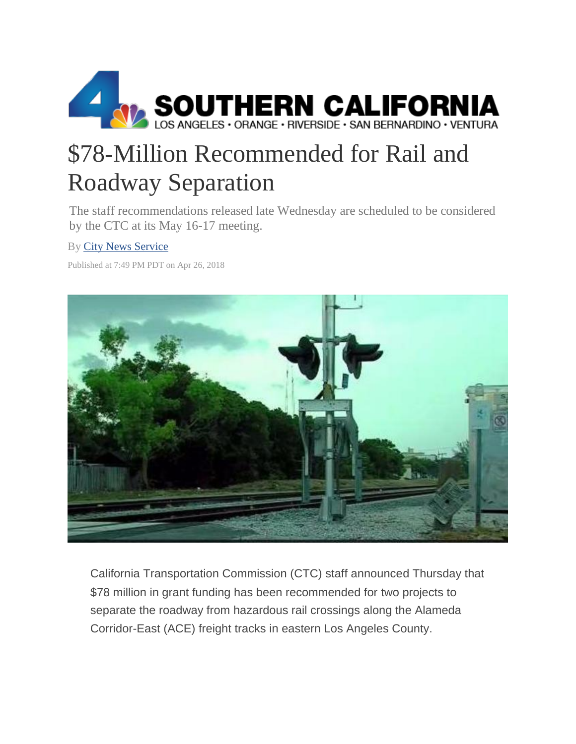

## \$78-Million Recommended for Rail and Roadway Separation

The staff recommendations released late Wednesday are scheduled to be considered by the CTC at its May 16-17 meeting.

## By [City News Service](https://www.nbclosangeles.com/results/?keywords=%22City+News+Service%22&byline=y&sort=date)

Published at 7:49 PM PDT on Apr 26, 2018



California Transportation Commission (CTC) staff announced Thursday that \$78 million in grant funding has been recommended for two projects to separate the roadway from hazardous rail crossings along the Alameda Corridor-East (ACE) freight tracks in eastern Los Angeles County.